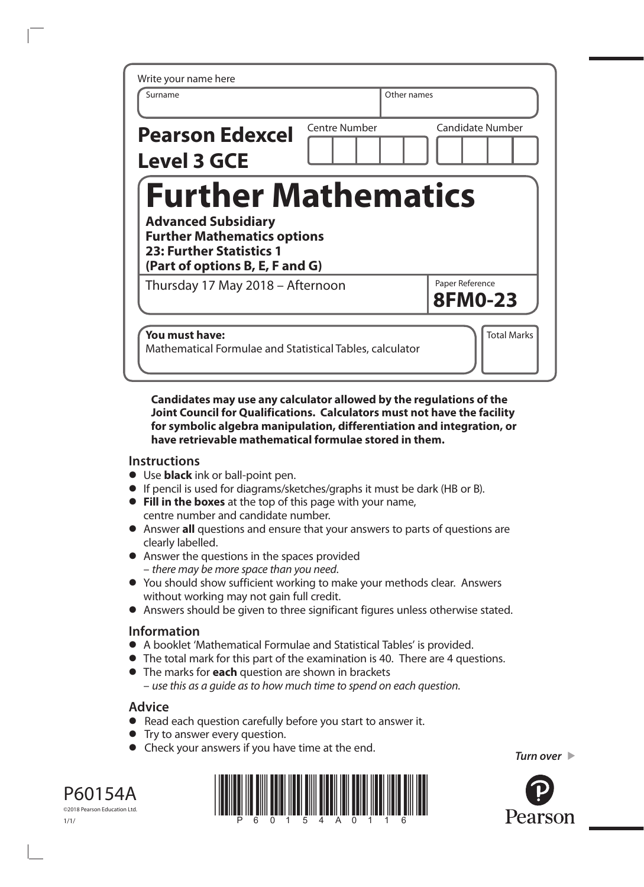| Write your name here                                                                                                                                                 |               |                                   |
|----------------------------------------------------------------------------------------------------------------------------------------------------------------------|---------------|-----------------------------------|
| Surname                                                                                                                                                              |               | Other names                       |
| <b>Pearson Edexcel</b><br><b>Level 3 GCE</b>                                                                                                                         | Centre Number | <b>Candidate Number</b>           |
| <b>Further Mathematics</b><br><b>Advanced Subsidiary</b><br><b>Further Mathematics options</b><br><b>23: Further Statistics 1</b><br>(Part of options B, E, F and G) |               |                                   |
| Thursday 17 May 2018 - Afternoon                                                                                                                                     |               | Paper Reference<br><b>8FM0-23</b> |
| You must have:<br>Mathematical Formulae and Statistical Tables, calculator                                                                                           |               | <b>Total Marks</b>                |

#### **Candidates may use any calculator allowed by the regulations of the Joint Council for Qualifications. Calculators must not have the facility for symbolic algebra manipulation, differentiation and integration, or have retrievable mathematical formulae stored in them.**

#### **Instructions**

- **•** Use **black** ink or ball-point pen.
- **•** If pencil is used for diagrams/sketches/graphs it must be dark (HB or B).
- **• Fill in the boxes** at the top of this page with your name, centre number and candidate number.
- **•** Answer **all** questions and ensure that your answers to parts of questions are clearly labelled.
- **•** Answer the questions in the spaces provided – *there may be more space than you need*.
- **•** You should show sufficient working to make your methods clear. Answers without working may not gain full credit.
- **•** Answers should be given to three significant figures unless otherwise stated.

## **Information**

- **•** A booklet 'Mathematical Formulae and Statistical Tables' is provided.
- **•** The total mark for this part of the examination is 40. There are 4 questions.
- **•** The marks for **each** question are shown in brackets – *use this as a guide as to how much time to spend on each question*.

## **Advice**

- **•** Read each question carefully before you start to answer it.
- **•** Try to answer every question.
- **•** Check your answers if you have time at the end.





*Turn over* 

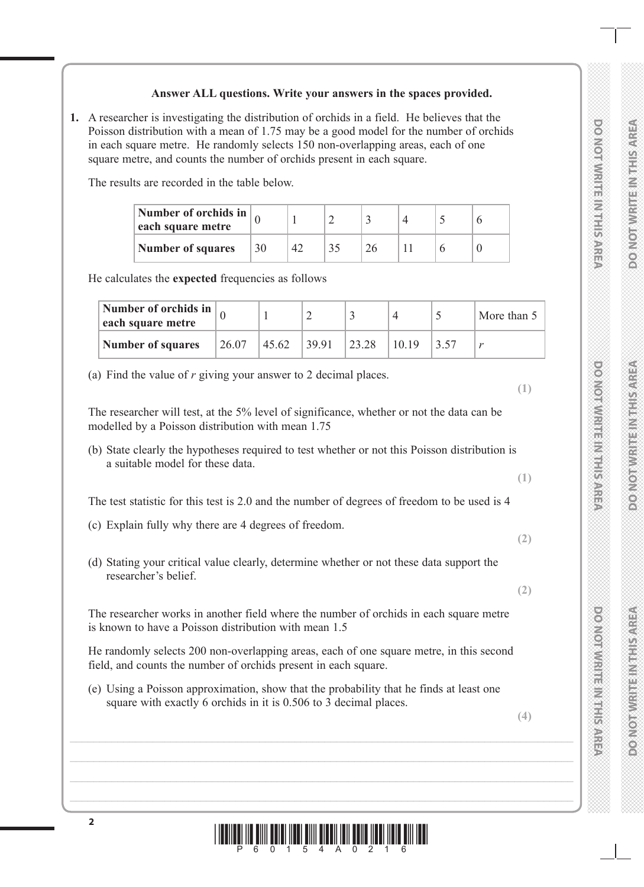## **Answer ALL questions. Write your answers in the spaces provided.**

**1.** A researcher is investigating the distribution of orchids in a field. He believes that the Poisson distribution with a mean of 1.75 may be a good model for the number of orchids in each square metre. He randomly selects 150 non-overlapping areas, each of one square metre, and counts the number of orchids present in each square.

The results are recorded in the table below.

| Number of orchids in $\vert$<br>each square metre |    |    |  |  |  |
|---------------------------------------------------|----|----|--|--|--|
| <b>Number of squares</b>                          | 30 | 42 |  |  |  |

He calculates the **expected** frequencies as follows

| Number of orchids in $\vert$<br>each square metre |       |       |       |       |       | More than 5 |
|---------------------------------------------------|-------|-------|-------|-------|-------|-------------|
| <b>Number of squares</b>                          | 26.07 | 45.62 | 39.91 | 23.28 | 10.19 |             |

(a) Find the value of *r* giving your answer to 2 decimal places.

The researcher will test, at the 5% level of significance, whether or not the data can be modelled by a Poisson distribution with mean 1.75

(b) State clearly the hypotheses required to test whether or not this Poisson distribution is a suitable model for these data.

The test statistic for this test is 2.0 and the number of degrees of freedom to be used is 4

- (c) Explain fully why there are 4 degrees of freedom.
- (d) Stating your critical value clearly, determine whether or not these data support the researcher's belief.

The researcher works in another field where the number of orchids in each square metre is known to have a Poisson distribution with mean 1.5

He randomly selects 200 non-overlapping areas, each of one square metre, in this second field, and counts the number of orchids present in each square.

(e) Using a Poisson approximation, show that the probability that he finds at least one square with exactly 6 orchids in it is 0.506 to 3 decimal places.

**(4)**

**(1)**

**(1)**

**(2)**

**(2)**

**DO NOT WRITE IN THIS AREA** 

**DO NOINNA HEINA HEISARE** 

**DO NOT WRITE IN THIS AREA**

**PONDERN MENTIONS IN STREET** 

**DO NOT WRITE IN THIS AREA**

**PONDERN MEDIAN STREET STREET** 

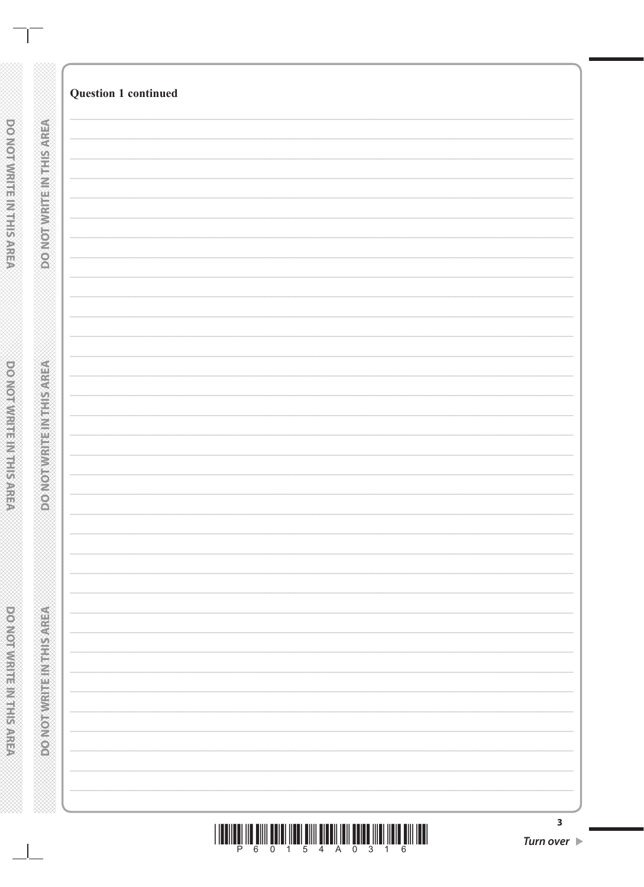| <u>TI III TIIII TUTTI IITTI TIII TIITTII TUTTI TUTTI IITTI TIITTI TIIT</u><br>$\overline{4}$<br>A<br>5<br>$\Omega$<br>$\mathcal{S}$<br>6<br>ี<br>∩<br>P<br>-1<br>4 |  |
|--------------------------------------------------------------------------------------------------------------------------------------------------------------------|--|

| З                |  |
|------------------|--|
| <b>Turn over</b> |  |

 $\mathbf{I}$ 

|                              | <b>Question 1 continued</b> |
|------------------------------|-----------------------------|
| DO NOT WRITEINITHS AREA      |                             |
|                              |                             |
|                              |                             |
|                              |                             |
|                              |                             |
|                              |                             |
| <b>DONOTWRITE NORTHSAREA</b> |                             |
|                              |                             |
|                              |                             |
|                              |                             |
|                              |                             |
| <b>DONORHER ENTERNOON</b>    |                             |
|                              |                             |
|                              |                             |
|                              |                             |
|                              |                             |

 $\overline{\phantom{a}}$ 

**DO NOT WRITER INTERFERIES**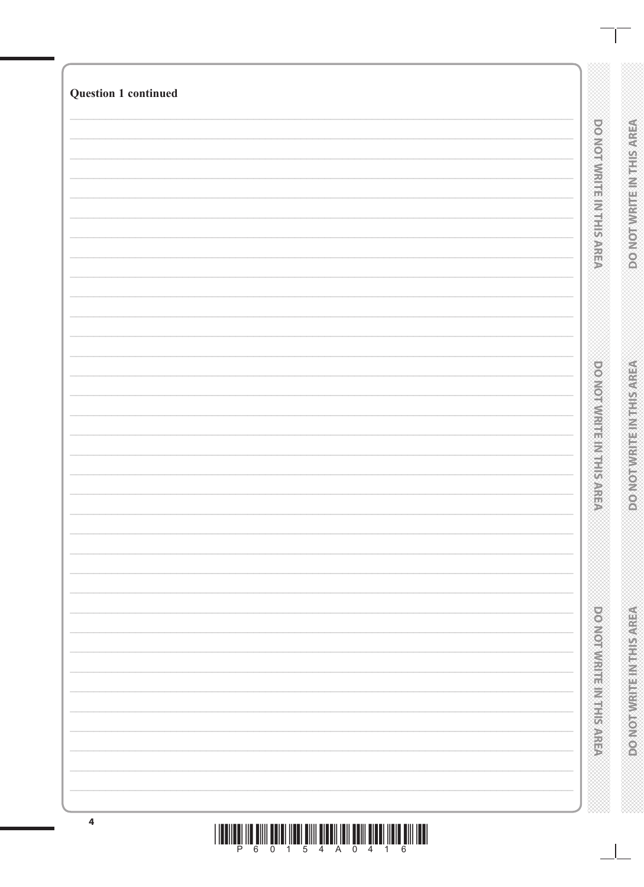| <b>DO NOTWART BINTHS AREA</b>       | <b>DONOTWRITEINTHSAREA</b>      |
|-------------------------------------|---------------------------------|
| <b>DOMORATION IS NOT SAFE</b>       | <b>POINOT WRITEIN THIS AREA</b> |
| <b>Production in the production</b> | <b>PONORVIER REPORTS NO.</b>    |

# <u>THEOLOGIC SUN SELECTION EN TELEVISION ELECTRICIA EN HELI</u>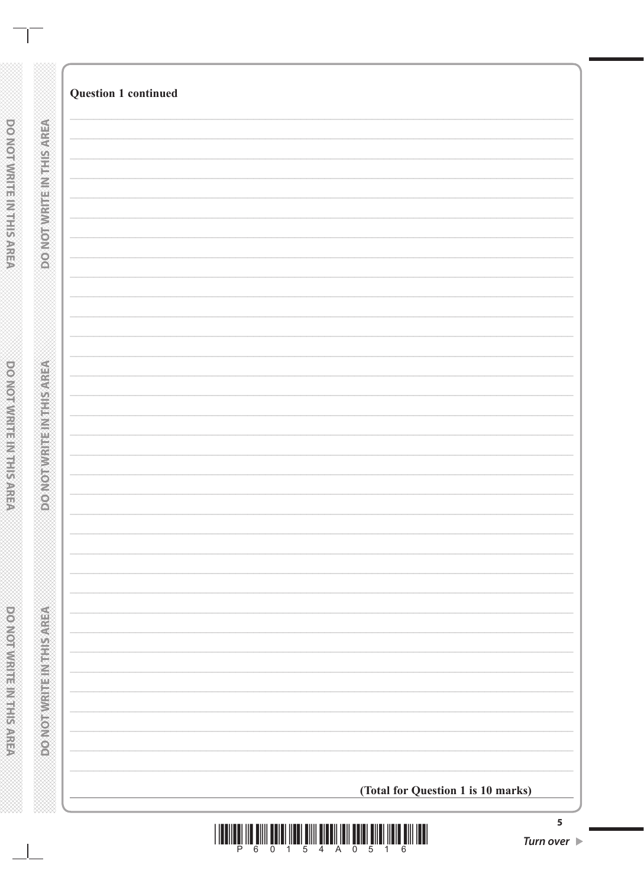|                           | <b>Question 1 continued</b>        |  |
|---------------------------|------------------------------------|--|
|                           |                                    |  |
| <b>DO NOTWHEIMEDIAREA</b> |                                    |  |
|                           |                                    |  |
|                           |                                    |  |
|                           |                                    |  |
|                           |                                    |  |
|                           |                                    |  |
|                           |                                    |  |
|                           |                                    |  |
|                           |                                    |  |
|                           |                                    |  |
|                           |                                    |  |
|                           |                                    |  |
|                           |                                    |  |
|                           |                                    |  |
|                           |                                    |  |
|                           |                                    |  |
|                           |                                    |  |
|                           |                                    |  |
|                           |                                    |  |
|                           |                                    |  |
|                           |                                    |  |
|                           |                                    |  |
|                           | (Total for Question 1 is 10 marks) |  |



**DOOMOTIVIRE IN THIS AREA** 

 $\overline{\phantom{0}}$ 

- 1

DO NOTWRITE IN THIS AREA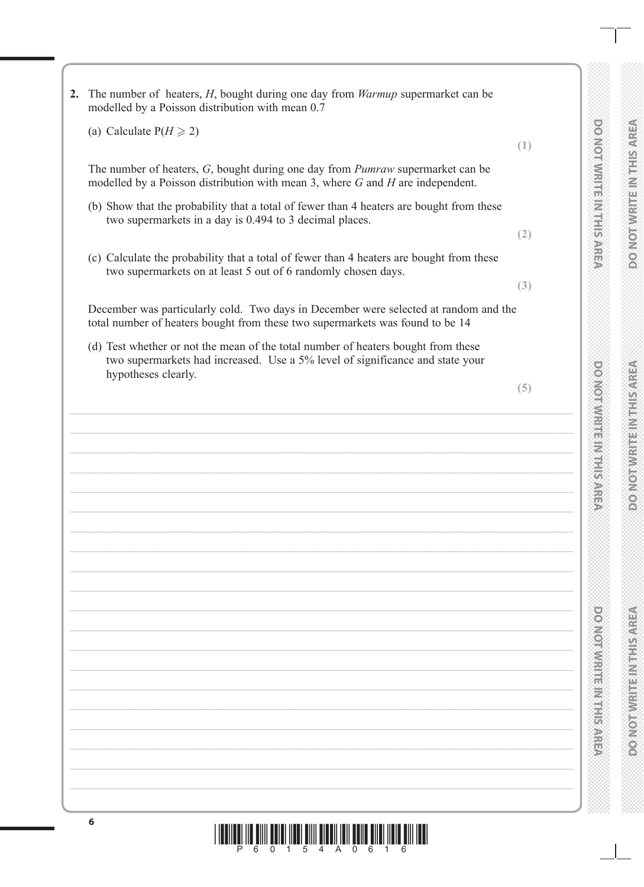|                                                                                                                                                       | ŕ<br>ě          |
|-------------------------------------------------------------------------------------------------------------------------------------------------------|-----------------|
|                                                                                                                                                       | è<br>ű          |
|                                                                                                                                                       | ii<br>C         |
| ć                                                                                                                                                     |                 |
|                                                                                                                                                       |                 |
| ֦֘                                                                                                                                                    | È               |
|                                                                                                                                                       | V)<br>T         |
|                                                                                                                                                       |                 |
|                                                                                                                                                       |                 |
|                                                                                                                                                       |                 |
| $\overline{\phantom{a}}$                                                                                                                              | €               |
|                                                                                                                                                       |                 |
| í                                                                                                                                                     | Z<br>M          |
|                                                                                                                                                       |                 |
| $\overline{a}$                                                                                                                                        |                 |
| $\overline{\phantom{a}}$<br>$\overline{\phantom{a}}$                                                                                                  |                 |
|                                                                                                                                                       |                 |
| $\overline{\phantom{a}}$<br>l                                                                                                                         | ¥               |
| ć<br>$\overline{\phantom{a}}$                                                                                                                         |                 |
|                                                                                                                                                       |                 |
|                                                                                                                                                       |                 |
|                                                                                                                                                       |                 |
|                                                                                                                                                       | ś<br>É          |
|                                                                                                                                                       |                 |
|                                                                                                                                                       | Ì               |
| ֒<br>$\begin{array}{c} \begin{array}{c} \begin{array}{c} \begin{array}{c} \end{array} \\ \end{array} \end{array} \end{array} \end{array} \end{array}$ |                 |
|                                                                                                                                                       | Ž               |
|                                                                                                                                                       |                 |
|                                                                                                                                                       | $\frac{6}{5}$   |
|                                                                                                                                                       |                 |
| j                                                                                                                                                     |                 |
|                                                                                                                                                       |                 |
|                                                                                                                                                       |                 |
|                                                                                                                                                       |                 |
| š                                                                                                                                                     |                 |
| $\overline{a}$                                                                                                                                        |                 |
|                                                                                                                                                       |                 |
| ć                                                                                                                                                     |                 |
|                                                                                                                                                       |                 |
|                                                                                                                                                       |                 |
| ć                                                                                                                                                     |                 |
|                                                                                                                                                       |                 |
|                                                                                                                                                       |                 |
| ֒                                                                                                                                                     |                 |
|                                                                                                                                                       |                 |
|                                                                                                                                                       |                 |
|                                                                                                                                                       |                 |
|                                                                                                                                                       |                 |
|                                                                                                                                                       |                 |
| š                                                                                                                                                     |                 |
| ł                                                                                                                                                     |                 |
| í                                                                                                                                                     |                 |
| ì                                                                                                                                                     |                 |
| i<br>$\overline{\phantom{a}}$                                                                                                                         | ř.              |
| į<br>$\overline{\phantom{a}}$                                                                                                                         |                 |
|                                                                                                                                                       |                 |
| ļ<br>$\overline{\phantom{a}}$                                                                                                                         | Œ               |
| ć                                                                                                                                                     | ਵ               |
|                                                                                                                                                       |                 |
| ć<br>ׇ֦֘֝                                                                                                                                             |                 |
|                                                                                                                                                       |                 |
| ć                                                                                                                                                     |                 |
| è                                                                                                                                                     |                 |
|                                                                                                                                                       |                 |
| ì                                                                                                                                                     |                 |
| į                                                                                                                                                     |                 |
| į                                                                                                                                                     |                 |
|                                                                                                                                                       |                 |
| ć                                                                                                                                                     |                 |
|                                                                                                                                                       |                 |
|                                                                                                                                                       |                 |
| i                                                                                                                                                     | <b>TENNISON</b> |
| $\overline{\phantom{a}}$                                                                                                                              |                 |
|                                                                                                                                                       |                 |
| i<br>$\overline{\phantom{a}}$<br>$\overline{\phantom{a}}$                                                                                             |                 |
|                                                                                                                                                       |                 |
| ć<br>$\overline{\phantom{a}}$                                                                                                                         | U               |
| ć                                                                                                                                                     |                 |
|                                                                                                                                                       |                 |
| ć                                                                                                                                                     |                 |
|                                                                                                                                                       |                 |
|                                                                                                                                                       | <b>COLLE</b>    |
|                                                                                                                                                       |                 |
| i                                                                                                                                                     |                 |
|                                                                                                                                                       |                 |
| l                                                                                                                                                     | Õ<br>Q          |
| í                                                                                                                                                     |                 |
|                                                                                                                                                       |                 |
|                                                                                                                                                       |                 |
|                                                                                                                                                       |                 |
|                                                                                                                                                       |                 |
|                                                                                                                                                       |                 |
|                                                                                                                                                       |                 |
|                                                                                                                                                       |                 |
|                                                                                                                                                       |                 |
|                                                                                                                                                       |                 |
|                                                                                                                                                       |                 |
| ś<br>ć                                                                                                                                                |                 |
|                                                                                                                                                       |                 |
| ï                                                                                                                                                     |                 |
| è                                                                                                                                                     |                 |
|                                                                                                                                                       |                 |
| ć                                                                                                                                                     |                 |
| ċ                                                                                                                                                     |                 |
| į                                                                                                                                                     |                 |
| ċ<br>ć                                                                                                                                                |                 |
| š                                                                                                                                                     |                 |
| į                                                                                                                                                     | ű               |
| Ŝ                                                                                                                                                     |                 |
|                                                                                                                                                       | j<br>q          |
| į<br>l                                                                                                                                                | Č<br>ĕ<br>í     |
| ć                                                                                                                                                     |                 |
|                                                                                                                                                       | ₩               |
| ć                                                                                                                                                     |                 |
|                                                                                                                                                       | Ä               |
| ć                                                                                                                                                     | ч<br>u<br>í     |
| ć                                                                                                                                                     | į<br>h<br>é.    |
|                                                                                                                                                       | Ç<br>ŧ          |
| ć                                                                                                                                                     | M               |
| ì                                                                                                                                                     | Í,              |
| è                                                                                                                                                     | ۵<br>Ł,         |
| ć                                                                                                                                                     | Ĺ,<br>₹<br>E    |
| ċ                                                                                                                                                     |                 |
| ì                                                                                                                                                     | Ĥ               |
| ć                                                                                                                                                     |                 |
| ć                                                                                                                                                     | M<br>ì<br>á     |
| š<br>į                                                                                                                                                | É               |
| Ŝ                                                                                                                                                     | Œ               |
|                                                                                                                                                       | ₩<br>í          |
| š                                                                                                                                                     | ś<br>Þ<br>œ.    |
|                                                                                                                                                       |                 |
|                                                                                                                                                       | I<br>Þ<br>÷     |
| ċ                                                                                                                                                     | ń<br>m          |
|                                                                                                                                                       | 1<br>ł<br>é     |
|                                                                                                                                                       | ĵ.<br>J         |
|                                                                                                                                                       | ĕ<br>₩<br>i     |
|                                                                                                                                                       | é<br>k          |
|                                                                                                                                                       | Í               |
|                                                                                                                                                       | S<br>ì          |

**DO NOT WRITE IN THIS AREA** 

**DO NOTWRITE INTHIS AREA** 

**DO NOT WRITE IN THIS AREA**

**DOMOTIVE ENTERNA SARE** 

**DO NOT WRITE IN THIS AREA**

**DONORAN AREA NEWSPAPER** 

**6**  $\frac{1}{2}$  ,  $\frac{1}{2}$  ,  $\frac{1}{2}$  ,  $\frac{1}{2}$  ,  $\frac{1}{2}$  ,  $\frac{1}{2}$  ,  $\frac{1}{2}$  ,  $\frac{1}{2}$  ,  $\frac{1}{2}$  ,  $\frac{1}{2}$  ,  $\frac{1}{2}$  ,  $\frac{1}{2}$ **2.** The number of heaters, *H*, bought during one day from *Warmup* supermarket can be modelled by a Poisson distribution with mean 0.7 (a) Calculate  $P(H \ge 2)$ **(1)** The number of heaters, *G*, bought during one day from *Pumraw* supermarket can be modelled by a Poisson distribution with mean 3, where *G* and *H* are independent. (b) Show that the probability that a total of fewer than 4 heaters are bought from these two supermarkets in a day is 0.494 to 3 decimal places. **(2)** (c) Calculate the probability that a total of fewer than 4 heaters are bought from these two supermarkets on at least 5 out of 6 randomly chosen days. **(3)** December was particularly cold. Two days in December were selected at random and the total number of heaters bought from these two supermarkets was found to be 14 (d) Test whether or not the mean of the total number of heaters bought from these two supermarkets had increased. Use a 5% level of significance and state your hypotheses clearly. **(5)**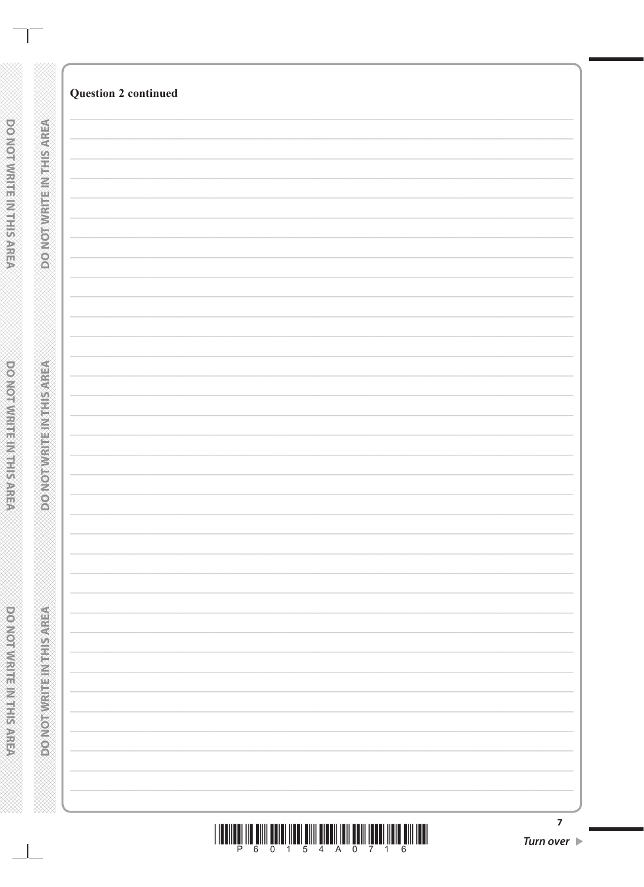| <b>TO MARKET AND ARRIVE</b> | <b>DESCRIPTION AND RESIDENCE AND RESIDENCE</b> | <b>Digital Management Control Control Control</b> |
|-----------------------------|------------------------------------------------|---------------------------------------------------|
| <b>ATTENNATIONALIS</b>      | <b>PONOTHERMEINS AND</b>                       | <b>DOMOT WRITEIN THIS AREA</b>                    |
|                             |                                                |                                                   |
|                             |                                                |                                                   |
|                             |                                                |                                                   |
|                             |                                                |                                                   |
|                             |                                                |                                                   |

**Question 2 continued** 

Š

я

**CONCORD**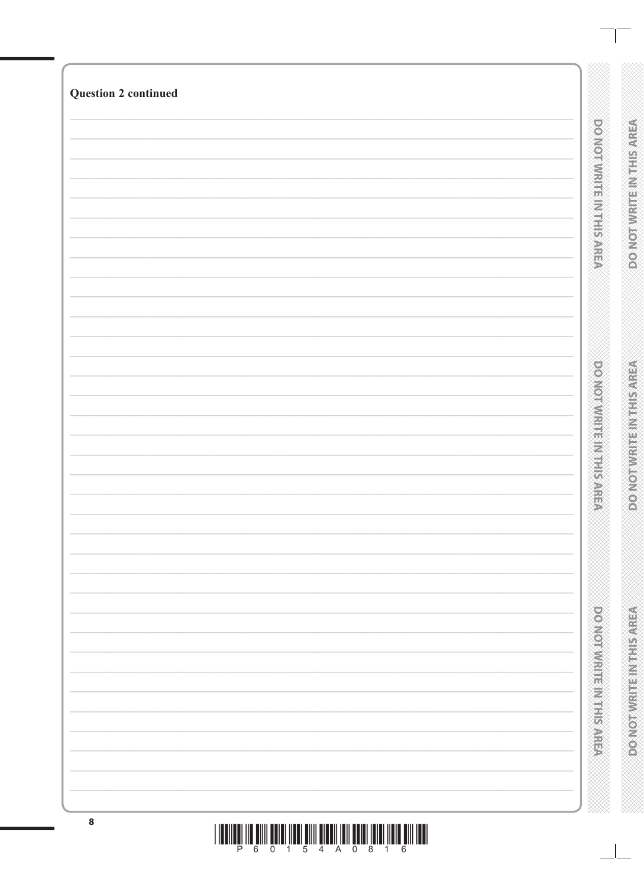| ${\bf 8}$                   |                                     |                                       |
|-----------------------------|-------------------------------------|---------------------------------------|
|                             | <b>Donormont in the manufacture</b> | <b>A BIVISTAL AT A MARKON CONTROL</b> |
|                             | <b>DOMORATION IN PRESSURE</b>       | <b>DOMORNIARE PRESENTED</b>           |
| <b>Question 2 continued</b> | <b>DO NOTWRITE MATHIS AREA</b>      | <b>DO NOTWRITE INTHIS AREA</b>        |
|                             |                                     |                                       |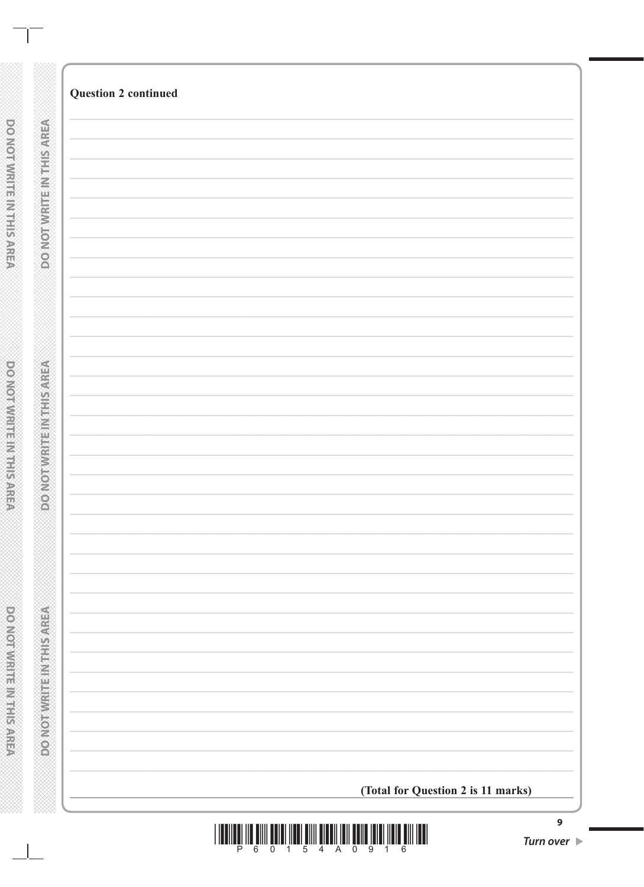|                              | <b>Question 2 continued</b>        |
|------------------------------|------------------------------------|
|                              |                                    |
|                              |                                    |
|                              |                                    |
| <b>DO NOTWRITEINTRISAREA</b> |                                    |
|                              |                                    |
|                              |                                    |
|                              |                                    |
|                              |                                    |
|                              |                                    |
|                              |                                    |
|                              |                                    |
|                              |                                    |
|                              |                                    |
|                              |                                    |
|                              |                                    |
|                              |                                    |
|                              |                                    |
|                              |                                    |
|                              |                                    |
|                              |                                    |
|                              |                                    |
|                              |                                    |
|                              |                                    |
|                              |                                    |
|                              |                                    |
|                              |                                    |
|                              |                                    |
|                              |                                    |
|                              |                                    |
|                              |                                    |
|                              |                                    |
|                              |                                    |
| <b>CONCERT CONSTRUCTIONS</b> |                                    |
|                              |                                    |
|                              |                                    |
|                              |                                    |
| Ø                            |                                    |
|                              |                                    |
|                              |                                    |
|                              |                                    |
|                              |                                    |
|                              |                                    |
|                              |                                    |
|                              |                                    |
|                              |                                    |
|                              |                                    |
|                              |                                    |
|                              |                                    |
|                              |                                    |
|                              |                                    |
|                              |                                    |
|                              |                                    |
|                              |                                    |
| <b>DONOTHER HEAREN</b>       |                                    |
|                              |                                    |
|                              |                                    |
|                              |                                    |
|                              |                                    |
|                              |                                    |
|                              |                                    |
|                              |                                    |
|                              |                                    |
|                              |                                    |
|                              | (Total for Question 2 is 11 marks) |



**DO NOT WRITE INTHIS AREA** 

DO NOT WRITE IN THE RACEA

 $\Box$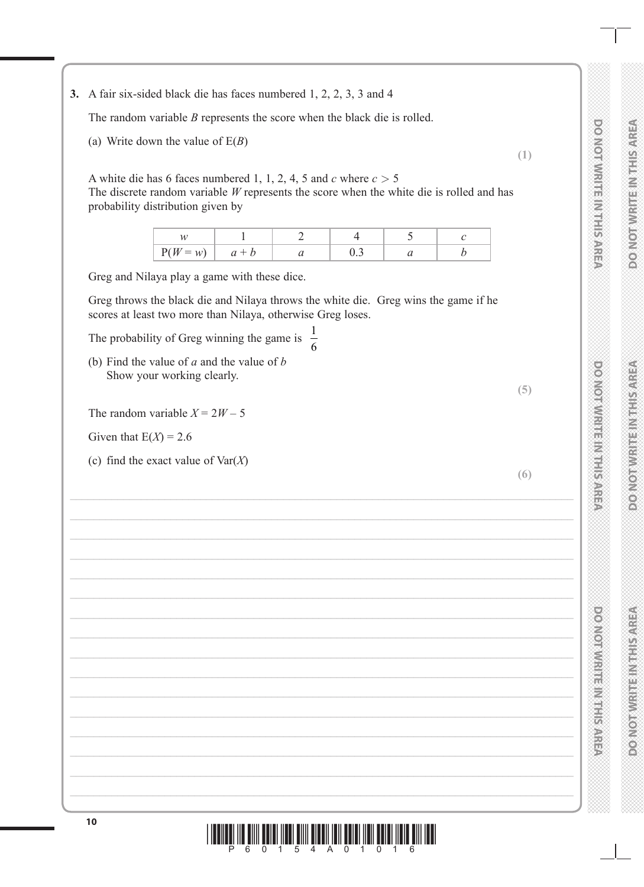**DO NOT WRITE IN THIS AREA DO NOT WRITE IN THIS AREA DO NOT WRITE IN THIS AREA BOOKOTAWRITENMIESARE** 

**DO NOT WRITE IN THIS AREA** 

**DO NOIMMRITE INTHERAREA** 

**PORTOR WEBSTANDING** 

**DO NOT WRITE IN THIS AREA**

**DONORAN PERMIT AND ANNUS** 

**EXAMPLE IN ENERGIA CONSOR** 

**DO NOT WRITE IN THIS AREA**

**POSTORY IN STREET AND THE STREET** 

**3.** A fair six-sided black die has faces numbered 1, 2, 2, 3, 3 and 4

The random variable *B* represents the score when the black die is rolled.

(a) Write down the value of E(*B*)

A white die has 6 faces numbered 1, 1, 2, 4, 5 and  $c$  where  $c > 5$ The discrete random variable *W* represents the score when the white die is rolled and has probability distribution given by

| $W = w^2$ | u |  |  |
|-----------|---|--|--|

Greg and Nilaya play a game with these dice.

Greg throws the black die and Nilaya throws the white die. Greg wins the game if he scores at least two more than Nilaya, otherwise Greg loses.

The probability of Greg winning the game is  $\frac{1}{6}$ 6

(b) Find the value of *a* and the value of *b* Show your working clearly.

The random variable  $X = 2W - 5$ 

Given that  $E(X) = 2.6$ 

(c) find the exact value of Var(*X*)

**<sup>10</sup>** \*P60154A01016\*

**(1)**

**(5)**

**(6)**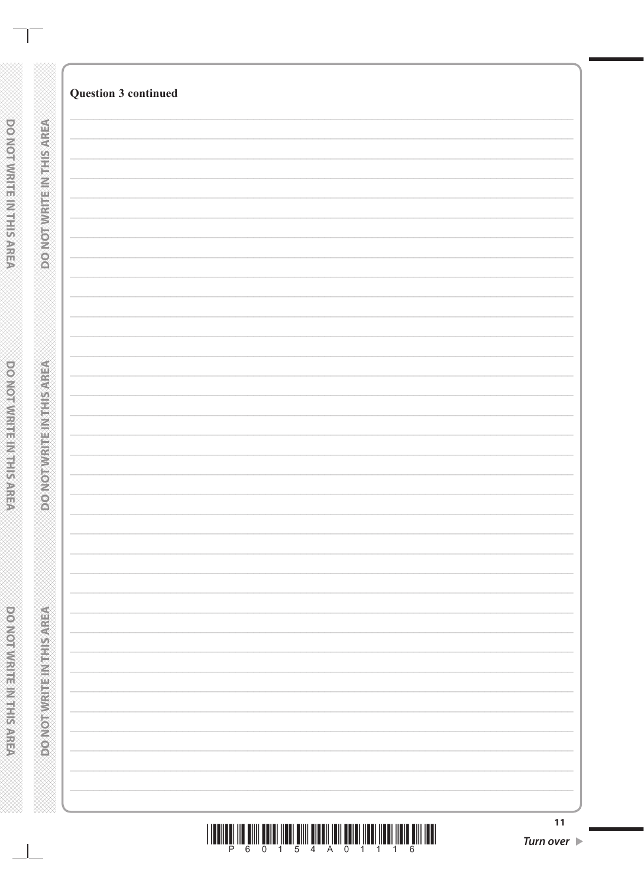|                                 | <b>Question 3 continued</b> |    |
|---------------------------------|-----------------------------|----|
| <b>DO NOT WRITEIN THIS AREA</b> |                             |    |
|                                 |                             |    |
|                                 |                             |    |
|                                 |                             |    |
|                                 |                             |    |
|                                 |                             |    |
|                                 |                             |    |
|                                 |                             |    |
|                                 |                             |    |
|                                 |                             |    |
|                                 |                             |    |
|                                 |                             |    |
| <b>CONCERT RESIDENCE</b>        |                             |    |
|                                 |                             |    |
|                                 |                             |    |
| Ω                               |                             |    |
|                                 |                             |    |
|                                 |                             |    |
|                                 |                             |    |
|                                 |                             |    |
|                                 |                             |    |
| <b>Maximum in the Microsoft</b> |                             |    |
|                                 |                             |    |
|                                 |                             |    |
|                                 |                             |    |
|                                 |                             |    |
|                                 |                             |    |
|                                 |                             | 11 |

 $\mathbb{R}$ 

**DO NOT WRITER IN THE REAL PARTS**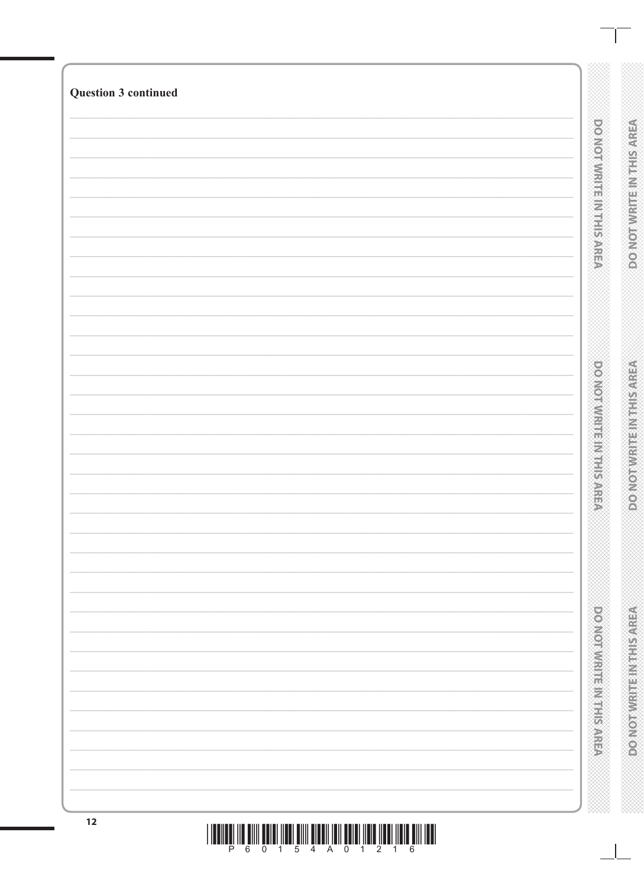| $12$                        | THE RESIDENCE OF A REAL PROPERTY OF A REPORT OF LOCAL CONTRACTOR OF A REAL PROPERTY. |                                                              |
|-----------------------------|--------------------------------------------------------------------------------------|--------------------------------------------------------------|
|                             |                                                                                      | <b>DOMORATION CONTROL</b><br><b>RESERVED AND RESIDENCE</b>   |
|                             |                                                                                      | power with the with system<br><b>DOMOT WRITE INTHIS AREA</b> |
|                             |                                                                                      | <b>DO NOTAWRITE IN THIS AREA</b><br>DO NOTWRITE IN THIS AREA |
| <b>Question 3 continued</b> |                                                                                      |                                                              |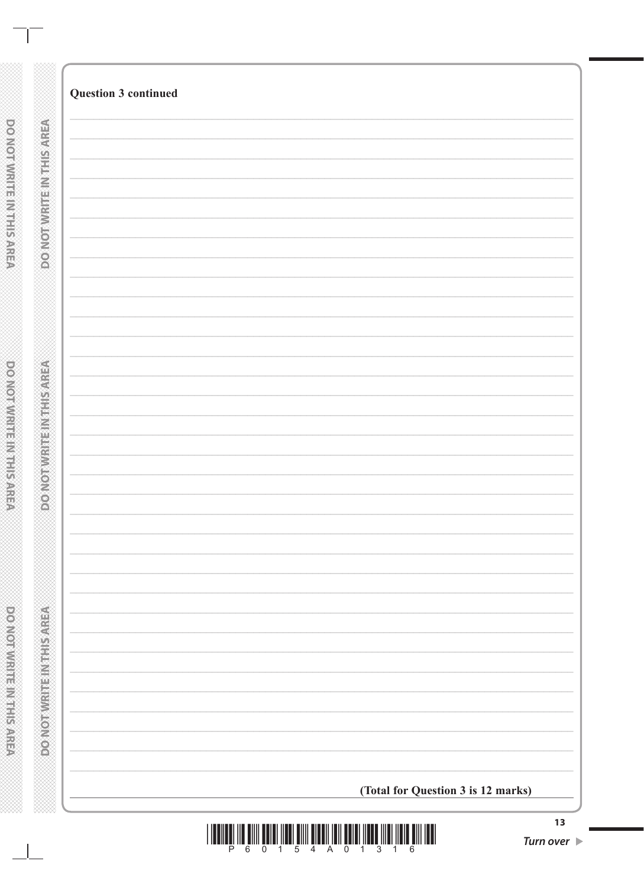|                                     | <b>Question 3 continued</b>        |
|-------------------------------------|------------------------------------|
|                                     |                                    |
| <b>PONOTWEITEINTEISAREA</b>         |                                    |
|                                     |                                    |
|                                     |                                    |
|                                     |                                    |
|                                     |                                    |
|                                     |                                    |
|                                     |                                    |
|                                     |                                    |
|                                     |                                    |
| <b>ABREST MEDICINES AND ADDRESS</b> |                                    |
|                                     |                                    |
|                                     |                                    |
|                                     |                                    |
|                                     |                                    |
|                                     |                                    |
|                                     |                                    |
|                                     |                                    |
|                                     |                                    |
|                                     |                                    |
| <b>MONOSHIP IN THE REPAIRING</b>    |                                    |
|                                     |                                    |
|                                     | (Total for Question 3 is 12 marks) |

**XXXXX** 

DOMOTWRITE IN THIS AREA

**DO NOT WRITE INTHIS AREA** 

DO NOT WRITE IN THE RACEA

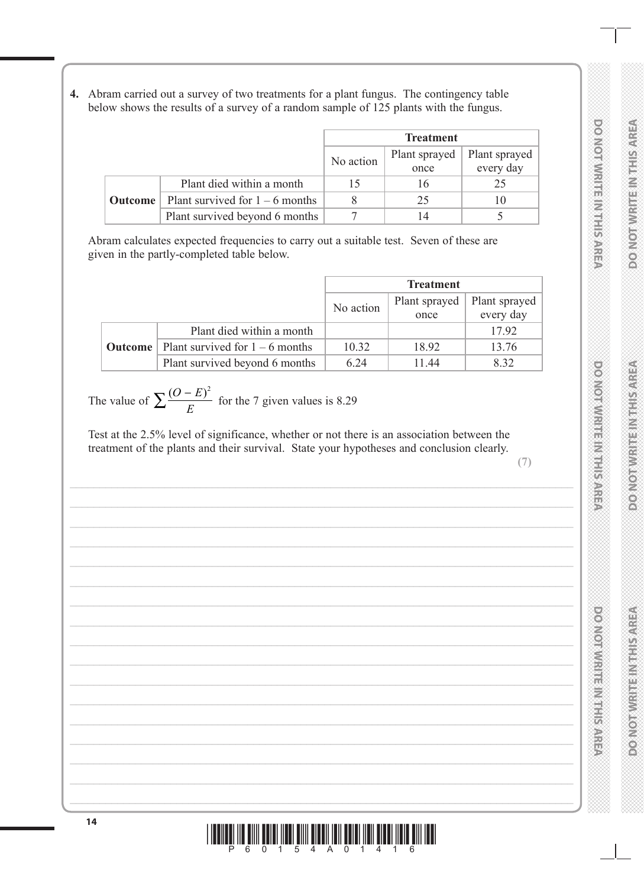**4.** Abram carried out a survey of two treatments for a plant fungus. The contingency table below shows the results of a survey of a random sample of 125 plants with the fungus.

|         |                                   | <b>Treatment</b> |               |               |
|---------|-----------------------------------|------------------|---------------|---------------|
|         |                                   | No action        | Plant sprayed | Plant sprayed |
|         |                                   |                  | once          | every day     |
|         | Plant died within a month         |                  |               |               |
| Outcome | Plant survived for $1 - 6$ months |                  | 25            |               |
|         | Plant survived beyond 6 months    |                  |               |               |

Abram calculates expected frequencies to carry out a suitable test. Seven of these are given in the partly-completed table below.

|                |                                   | <b>Treatment</b> |               |               |
|----------------|-----------------------------------|------------------|---------------|---------------|
|                |                                   | No action        | Plant sprayed | Plant sprayed |
|                |                                   |                  | once          | every day     |
|                | Plant died within a month         |                  |               | 17.92         |
| <b>Outcome</b> | Plant survived for $1 - 6$ months | 10.32            | 18.92         | 13.76         |
|                | Plant survived beyond 6 months    | 6.24             | 11.44         | 8.32          |

The value of  $\sum \frac{(O-E)}{E}$  $\sum \frac{(O-E)^2}{E}$ for the 7 given values is 8.29

Test at the 2.5% level of significance, whether or not there is an association between the treatment of the plants and their survival. State your hypotheses and conclusion clearly.

**(7)**

**DO NOT WRITE IN THIS AREA DO NOT WRITE IN THIS AREA DO NOT WRITE IN THIS AREA DOMORATE RESIDENCE** 

**DO NOT WRITE IN THIS AREA** 

**DO NOTWRITE INTHISTAREA** 

**DO NOIAMHUE IN HIS AREA** 

**DO NOT WRITE IN THIS AREA**

**DONIO NI PROTECTION AND LOTES** 

**DO NOT WRITE IN THIS AREA**

**POSTORY IN STREET AND THE STREET** 

**<sup>14</sup>** \*P60154A01416\*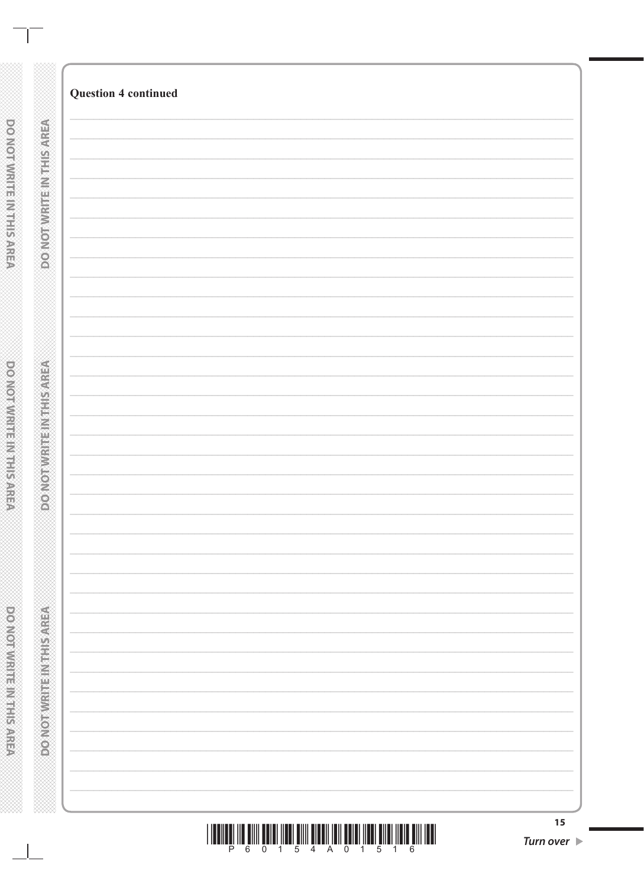| <b>Question 4 continued</b> |  |
|-----------------------------|--|
|                             |  |
|                             |  |
|                             |  |
|                             |  |
|                             |  |
|                             |  |
|                             |  |
|                             |  |
|                             |  |
|                             |  |
|                             |  |
|                             |  |
|                             |  |
|                             |  |
|                             |  |
|                             |  |
|                             |  |
|                             |  |
|                             |  |
|                             |  |
|                             |  |
|                             |  |
|                             |  |
|                             |  |
|                             |  |
|                             |  |
|                             |  |
|                             |  |
|                             |  |
|                             |  |
|                             |  |
|                             |  |
|                             |  |
|                             |  |
|                             |  |
|                             |  |
|                             |  |
|                             |  |
|                             |  |
|                             |  |
|                             |  |
|                             |  |

DONOTWRITE IN THIS AREA

 $\sim$  1.00

**DO NOT WIRTH MITHS ARRES** 

**DO NOT WRITER IN THE REAL PARTS** 

.<br>Hikko